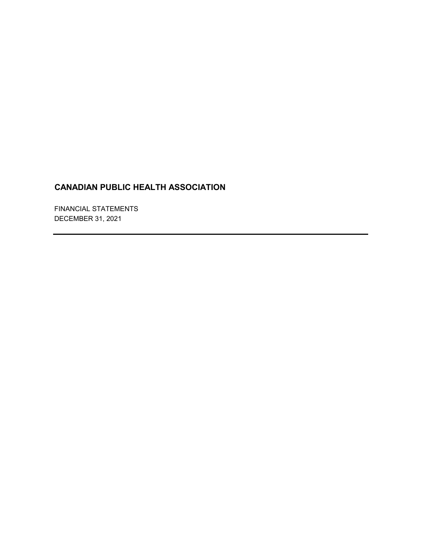FINANCIAL STATEMENTS DECEMBER 31, 2021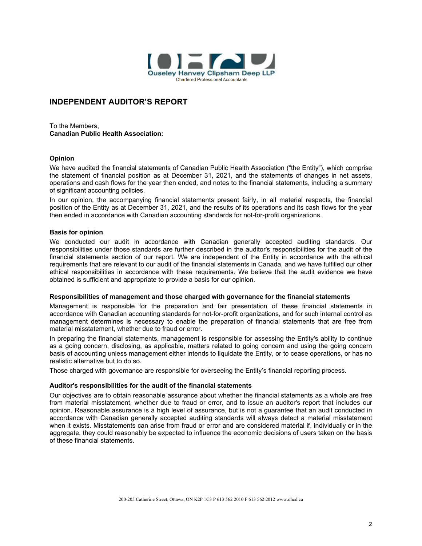

## **INDEPENDENT AUDITOR'S REPORT**

To the Members, **Canadian Public Health Association:**

## **Opinion**

We have audited the financial statements of Canadian Public Health Association ("the Entity"), which comprise the statement of financial position as at December 31, 2021, and the statements of changes in net assets, operations and cash flows for the year then ended, and notes to the financial statements, including a summary of significant accounting policies.

In our opinion, the accompanying financial statements present fairly, in all material respects, the financial position of the Entity as at December 31, 2021, and the results of its operations and its cash flows for the year then ended in accordance with Canadian accounting standards for not-for-profit organizations.

## **Basis for opinion**

We conducted our audit in accordance with Canadian generally accepted auditing standards. Our responsibilities under those standards are further described in the auditor's responsibilities for the audit of the financial statements section of our report. We are independent of the Entity in accordance with the ethical requirements that are relevant to our audit of the financial statements in Canada, and we have fulfilled our other ethical responsibilities in accordance with these requirements. We believe that the audit evidence we have obtained is sufficient and appropriate to provide a basis for our opinion.

## **Responsibilities of management and those charged with governance for the financial statements**

Management is responsible for the preparation and fair presentation of these financial statements in accordance with Canadian accounting standards for not-for-profit organizations, and for such internal control as management determines is necessary to enable the preparation of financial statements that are free from material misstatement, whether due to fraud or error.

In preparing the financial statements, management is responsible for assessing the Entity's ability to continue as a going concern, disclosing, as applicable, matters related to going concern and using the going concern basis of accounting unless management either intends to liquidate the Entity, or to cease operations, or has no realistic alternative but to do so.

Those charged with governance are responsible for overseeing the Entity's financial reporting process.

## **Auditor's responsibilities for the audit of the financial statements**

Our objectives are to obtain reasonable assurance about whether the financial statements as a whole are free from material misstatement, whether due to fraud or error, and to issue an auditor's report that includes our opinion. Reasonable assurance is a high level of assurance, but is not a guarantee that an audit conducted in accordance with Canadian generally accepted auditing standards will always detect a material misstatement when it exists. Misstatements can arise from fraud or error and are considered material if, individually or in the aggregate, they could reasonably be expected to influence the economic decisions of users taken on the basis of these financial statements.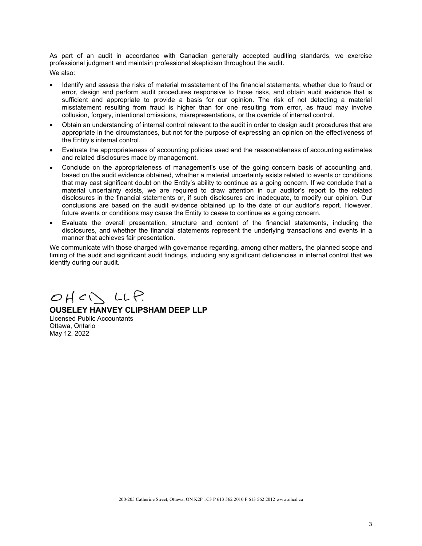As part of an audit in accordance with Canadian generally accepted auditing standards, we exercise professional judgment and maintain professional skepticism throughout the audit.

We also:

- Identify and assess the risks of material misstatement of the financial statements, whether due to fraud or error, design and perform audit procedures responsive to those risks, and obtain audit evidence that is sufficient and appropriate to provide a basis for our opinion. The risk of not detecting a material misstatement resulting from fraud is higher than for one resulting from error, as fraud may involve collusion, forgery, intentional omissions, misrepresentations, or the override of internal control.
- Obtain an understanding of internal control relevant to the audit in order to design audit procedures that are appropriate in the circumstances, but not for the purpose of expressing an opinion on the effectiveness of the Entity's internal control.
- Evaluate the appropriateness of accounting policies used and the reasonableness of accounting estimates and related disclosures made by management.
- Conclude on the appropriateness of management's use of the going concern basis of accounting and, based on the audit evidence obtained, whether a material uncertainty exists related to events or conditions that may cast significant doubt on the Entity's ability to continue as a going concern. If we conclude that a material uncertainty exists, we are required to draw attention in our auditor's report to the related disclosures in the financial statements or, if such disclosures are inadequate, to modify our opinion. Our conclusions are based on the audit evidence obtained up to the date of our auditor's report. However, future events or conditions may cause the Entity to cease to continue as a going concern.
- Evaluate the overall presentation, structure and content of the financial statements, including the disclosures, and whether the financial statements represent the underlying transactions and events in a manner that achieves fair presentation.

We communicate with those charged with governance regarding, among other matters, the planned scope and timing of the audit and significant audit findings, including any significant deficiencies in internal control that we identify during our audit.

 $OHCO$  LLP.

## **OUSELEY HANVEY CLIPSHAM DEEP LLP**

Licensed Public Accountants Ottawa, Ontario May 12, 2022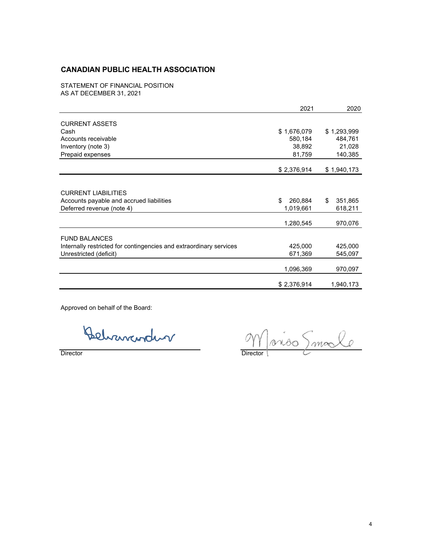STATEMENT OF FINANCIAL POSITION AS AT DECEMBER 31, 2021

|                                                                    | 2021           | 2020          |
|--------------------------------------------------------------------|----------------|---------------|
|                                                                    |                |               |
| <b>CURRENT ASSETS</b>                                              |                |               |
| Cash                                                               | \$1,676,079    | \$1,293,999   |
| Accounts receivable                                                | 580,184        | 484,761       |
| Inventory (note 3)                                                 | 38,892         | 21,028        |
| Prepaid expenses                                                   | 81,759         | 140,385       |
|                                                                    |                |               |
|                                                                    | \$2,376,914    | \$1,940,173   |
|                                                                    |                |               |
| <b>CURRENT LIABILITIES</b>                                         |                |               |
| Accounts payable and accrued liabilities                           | \$.<br>260,884 | \$<br>351,865 |
| Deferred revenue (note 4)                                          | 1,019,661      | 618,211       |
|                                                                    |                |               |
|                                                                    | 1,280,545      | 970,076       |
| <b>FUND BALANCES</b>                                               |                |               |
| Internally restricted for contingencies and extraordinary services | 425,000        | 425,000       |
|                                                                    |                |               |
| Unrestricted (deficit)                                             | 671,369        | 545,097       |
|                                                                    |                |               |
|                                                                    | 1,096,369      | 970,097       |
|                                                                    | \$2,376,914    | 1,940,173     |
|                                                                    |                |               |

Approved on behalf of the Board:

Behanandur

Joros Smale Director **Director Director**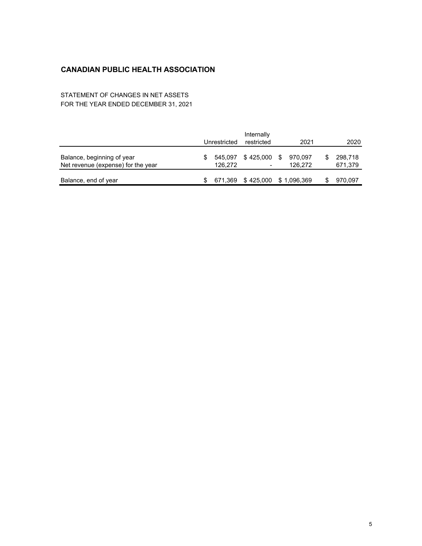## STATEMENT OF CHANGES IN NET ASSETS FOR THE YEAR ENDED DECEMBER 31, 2021

|                                                                  |    | Unrestricted       | Internally<br>restricted    |   | 2021               | 2020               |
|------------------------------------------------------------------|----|--------------------|-----------------------------|---|--------------------|--------------------|
| Balance, beginning of year<br>Net revenue (expense) for the year | S. | 545.097<br>126.272 | \$425,000<br>$\blacksquare$ | S | 970.097<br>126.272 | 298,718<br>671,379 |
| Balance, end of year                                             |    |                    | 671,369 \$425,000           |   | \$1,096,369        | 970,097            |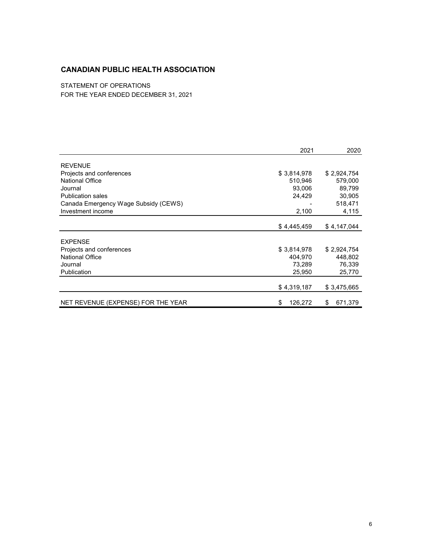STATEMENT OF OPERATIONS FOR THE YEAR ENDED DECEMBER 31, 2021

|                                      | 2021          | 2020          |
|--------------------------------------|---------------|---------------|
| <b>REVENUE</b>                       |               |               |
|                                      |               |               |
| Projects and conferences             | \$3,814,978   | \$2,924,754   |
| <b>National Office</b>               | 510,946       | 579,000       |
| Journal                              | 93,006        | 89,799        |
| <b>Publication sales</b>             | 24,429        | 30,905        |
| Canada Emergency Wage Subsidy (CEWS) |               | 518,471       |
| Investment income                    | 2,100         | 4,115         |
|                                      |               |               |
|                                      | \$4,445,459   | \$4,147,044   |
|                                      |               |               |
| <b>EXPENSE</b>                       |               |               |
| Projects and conferences             | \$3,814,978   | \$2,924,754   |
| <b>National Office</b>               | 404.970       | 448,802       |
| Journal                              | 73,289        | 76,339        |
| Publication                          | 25,950        | 25,770        |
|                                      |               |               |
|                                      | \$4,319,187   | \$3,475,665   |
|                                      |               |               |
| NET REVENUE (EXPENSE) FOR THE YEAR   | \$<br>126,272 | \$<br>671,379 |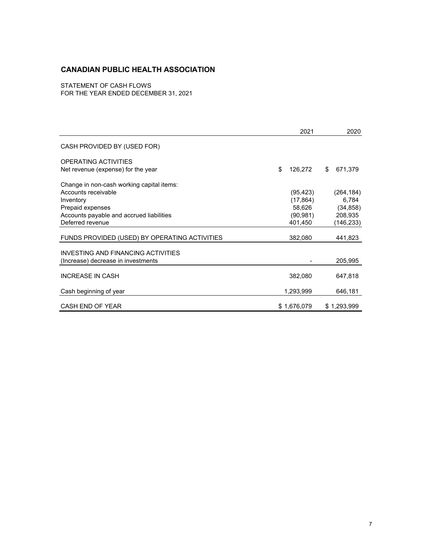STATEMENT OF CASH FLOWS FOR THE YEAR ENDED DECEMBER 31, 2021

|                                               | 2021          | 2020          |
|-----------------------------------------------|---------------|---------------|
| CASH PROVIDED BY (USED FOR)                   |               |               |
| OPERATING ACTIVITIES                          |               |               |
| Net revenue (expense) for the year            | \$<br>126,272 | \$<br>671,379 |
| Change in non-cash working capital items:     |               |               |
| Accounts receivable                           | (95, 423)     | (264, 184)    |
| Inventory                                     | (17, 864)     | 6,784         |
| Prepaid expenses                              | 58,626        | (34, 858)     |
| Accounts payable and accrued liabilities      | (90, 981)     | 208,935       |
| Deferred revenue                              | 401,450       | (146,233)     |
|                                               |               |               |
| FUNDS PROVIDED (USED) BY OPERATING ACTIVITIES | 382,080       | 441,823       |
| INVESTING AND FINANCING ACTIVITIES            |               |               |
| (Increase) decrease in investments            |               | 205,995       |
|                                               |               |               |
| <b>INCREASE IN CASH</b>                       | 382,080       | 647,818       |
| Cash beginning of year                        | 1,293,999     | 646,181       |
| CASH END OF YEAR                              | \$1,676,079   | \$1,293,999   |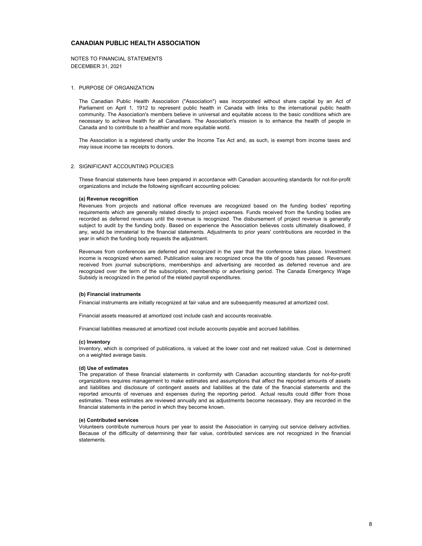### NOTES TO FINANCIAL STATEMENTS DECEMBER 31, 2021

#### 1. PURPOSE OF ORGANIZATION

The Canadian Public Health Association ("Association") was incorporated without share capital by an Act of Parliament on April 1, 1912 to represent public health in Canada with links to the international public health community. The Association's members believe in universal and equitable access to the basic conditions which are necessary to achieve health for all Canadians. The Association's mission is to enhance the health of people in Canada and to contribute to a healthier and more equitable world.

The Association is a registered charity under the Income Tax Act and, as such, is exempt from income taxes and may issue income tax receipts to donors.

#### 2. SIGNIFICANT ACCOUNTING POLICIES

These financial statements have been prepared in accordance with Canadian accounting standards for not-for-profit organizations and include the following significant accounting policies:

#### **(a) Revenue recognition**

Revenues from projects and national office revenues are recognized based on the funding bodies' reporting requirements which are generally related directly to project expenses. Funds received from the funding bodies are recorded as deferred revenues until the revenue is recognized. The disbursement of project revenue is generally subject to audit by the funding body. Based on experience the Association believes costs ultimately disallowed, if any, would be immaterial to the financial statements. Adjustments to prior years' contributions are recorded in the year in which the funding body requests the adjustment.

Revenues from conferences are deferred and recognized in the year that the conference takes place. Investment income is recognized when earned. Publication sales are recognized once the title of goods has passed. Revenues received from journal subscriptions, memberships and advertising are recorded as deferred revenue and are recognized over the term of the subscription, membership or advertising period. The Canada Emergency Wage Subsidy is recognized in the period of the related payroll expenditures.

#### **(b) Financial instruments**

Financial instruments are initially recognized at fair value and are subsequently measured at amortized cost.

Financial assets measured at amortized cost include cash and accounts receivable.

Financial liabilities measured at amortized cost include accounts payable and accrued liabilities.

#### **(c) Inventory**

Inventory, which is comprised of publications, is valued at the lower cost and net realized value. Cost is determined on a weighted average basis.

#### **(d) Use of estimates**

The preparation of these financial statements in conformity with Canadian accounting standards for not-for-profit organizations requires management to make estimates and assumptions that affect the reported amounts of assets and liabilities and disclosure of contingent assets and liabilities at the date of the financial statements and the reported amounts of revenues and expenses during the reporting period. Actual results could differ from those estimates. These estimates are reviewed annually and as adjustments become necessary, they are recorded in the financial statements in the period in which they become known.

#### **(e) Contributed services**

Volunteers contribute numerous hours per year to assist the Association in carrying out service delivery activities. Because of the difficulty of determining their fair value, contributed services are not recognized in the financial statements.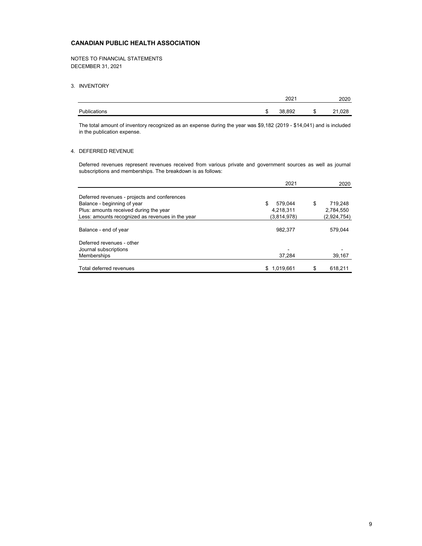### NOTES TO FINANCIAL STATEMENTS DECEMBER 31, 2021

#### 3. INVENTORY

|                     |   | 2021   |   | 2020 |
|---------------------|---|--------|---|------|
| <b>Publications</b> | w | 38,892 | ш | ,028 |

The total amount of inventory recognized as an expense during the year was \$9,182 (2019 - \$14,041) and is included in the publication expense.

### 4. DEFERRED REVENUE

Deferred revenues represent revenues received from various private and government sources as well as journal subscriptions and memberships. The breakdown is as follows:

|                                                  | 2021          |    | 2020        |  |
|--------------------------------------------------|---------------|----|-------------|--|
| Deferred revenues - projects and conferences     |               |    |             |  |
| Balance - beginning of year                      | \$<br>579.044 | \$ | 719.248     |  |
| Plus: amounts received during the year           | 4,218,311     |    | 2,784,550   |  |
| Less: amounts recognized as revenues in the year | (3,814,978)   |    | (2,924,754) |  |
| Balance - end of year                            | 982,377       |    | 579.044     |  |
| Deferred revenues - other                        |               |    |             |  |
| Journal subscriptions                            |               |    |             |  |
| Memberships                                      | 37,284        |    | 39,167      |  |
| Total deferred revenues                          | \$1,019,661   | \$ | 618,211     |  |